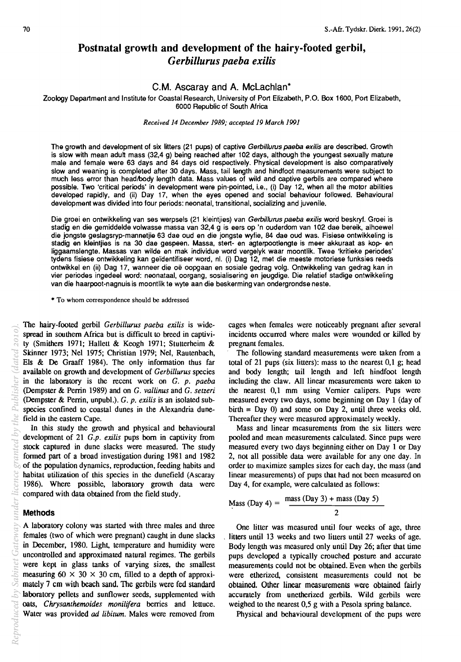# Postnatal growth and development of the hairy-footed gerbil, *Gerbillurus paeba exilis*

C.M. Ascaray and A. McLachlan\*

Zoology Department and Institute for Coastal Research, University of Port Elizabeth, P.O. Box 1600, Port Elizabeth, 6000 Republic of South Africa

*Received* 14 *December* 1989; *accepted* 19 *March 1991* 

The growth and development of six litters (21 pups) of captive Gerbillurus paeba exilis are described. Growth is slow with mean adult mass (32,4 g) being reached after 102 days, although the youngest sexually mature male and female were 63 days and 84 days old respectively. Physical development is also comparatively slow and weaning is completed after 30 days. Mass, tail length and hindfoot measurements were subject to much less error than head/body length data. Mass values of wild and captive gerbils are compared where possible. Two 'critical periods' in development were pin-pointed, i.e., (i) Day 12, when all the motor abilities developed rapidly, and (ii) Day 17, when the eyes opened and social behaviour followed. Behavioural development was divided into four periods: neonatal, transitional, socializing and juvenile.

Die groei en ontwikkeling van ses werpsels (21 kleintjies) van Gerbillurus paeba exilis word beskryf. Groei is stadig en die gemiddelde volwasse massa van 32,4 9 is eers op 'n ouderdom van 102 dae bereik, alhoewel die jongste geslagsryp-mannetjie 63 dae oud en die jongste wyfie, 84 dae oud was. Fisiese ontwikkeling is stadig en kleintjies is na 30 dae gespeen. Massa, stert- en agterpootlengte is meer akkuraat as kop- en liggaamslengte. Massas van wilde en mak individue word vergelyk waar moontlik. Twee 'kritieke periodes' tydens fisiese ontwikkeling kan geïdentifiseer word, nl. (i) Dag 12, met die meeste motoriese funksies reeds ontwikkel en (ii) Dag 17, wanneer die oë oopgaan en sosiale gedrag volg. Ontwikkeling van gedrag kan in vier periodes ingedeel word: neonataal, oorgang, sosialisering en jeugdige. Die relatief stadige ontwikkeling van die haarpoot-nagnuis is moontlik te wyte aan die beskerming van ondergrondse neste.

• To whom correspondence should be addressed

The hairy-footed gerbil *Gerbillurus paeba exilis* is widespread in southern Africa but is difficult to breed in captivity (Smithers 1971; Hallett & Keogh 1971; Stutterheim & Skinner 1973; Nel 1975; Christian 1979; Nel, Rautenbach, Els & De Graaff 1984). The only information thus far available on growth and development of *Gerbillurus* species in the laboratory is the recent work on G. *p. paeba*  (Dempster & Perrin 1989) and on G. *vallinus* and G. *setzeri*  (Dempster & Perrin, unpubl.). G. *p. exilis* is an isolated subspecies confined to coastal dunes in the Alexandria dunefield in the eastern Cape.

In this study the growth and physical and behavioural development of 21 *G.p. exilis* pups born in captivity from stock captured in dune slacks were measured. The study fonned part of a broad investigation during 1981 and 1982 of the population dynamics, reproduction, feeding habits and habitat utilization of this species in the dunefield (Ascaray 1986). Where possible, laboratory growth data were compared with data obtained from the field study.

## Methods

A laboratory colony was started with three males and three females (two of which were pregnant) caught in dune slacks in December, 1980. Light, temperature and humidity were uncontrolled and approximated natural regimes. The gerbils were kept in glass tanks of varying sizes, the smallest measuring  $60 \times 30 \times 30$  cm, filled to a depth of approximately 7 cm with beach sand. The gerbils were fed standard laboratory pelIets and sunflower seeds, supplemented with oats, *Chrysanthemoides monilifera* berries and lettuce. Water was provided ad *libitum.* Males were removed from cages when females were noticeably pregnant after several incidents occurred where males were wounded or killed by pregnant females.

The following standard measurements were taken from a total of 21 pups (six litters): mass to the nearest 0,1 g; head and body length; tail length and left hindfoot length including the claw. All linear measurements were taken to the nearest 0,1 mm using Vernier calipers. Pups were measured every two days, some beginning on Day 1 (day of birth  $=$  Day 0) and some on Day 2, until three weeks old. Thereafter they were measured approximately weekly.

Mass and linear measurements from the six litters were pooled and mean measurements calculated. Since pups were measured every two days beginning either on Day 1 or Day 2, not all possible data were available for anyone day. In order to maximize samples sizes for each day, the mass (and linear measurements) of pups that had not been measured on Day 4, for example, were calculated as follows:

Mass (Day 4) = 
$$
\frac{\text{mass (Day 3)} + \text{mass (Day 5)}}{2}
$$

One litter was measured until four weeks of age, three litters until 13 weeks and two litters until 27 weeks of age. Body length was measured only until Day 26; after that time pups developed a typically crouched posture and accurate measurements could not be obtained. Even when the gerbils were etherized, consistent measurements could not be obtained. Other linear measurements were obtained fairly accurately from unetherized gerbils. Wild gerbils were weighed to the nearest 0,5 g with a Pesola spring balance.

Physical and behavioural development of the pups were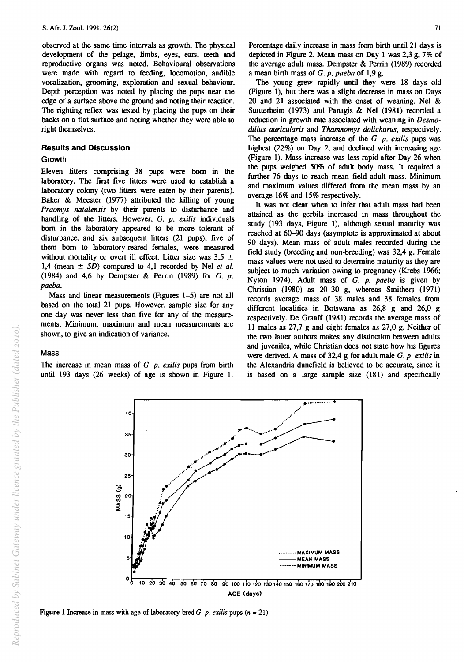observed at the same time intervals as growth. The physical development of the pelage, limbs, eyes, ears, teeth and reproductive organs was noted. Behavioural observations were made with regard to feeding, locomotion, audible vocalization, grooming, exploration and sexual behaviour. Depth perception was noted by placing the pups near the edge of a surface above the ground and noting their reaction. The righting reflex was tested by placing the pups on their backs on a flat surface and noting whether they were able to right themselves.

#### **Results and Discussion**

## **Growth**

Eleven litters comprising 38 pups were born in the laboratory. The first five litters were used to establish a laboratory colony (two litters were eaten by their parents). Baker & Meester (1977) attributed the killing of young *Praomys natalensis* by their parents to disturbance and handling of the litters. However, G. *p. exilis* individuals born in the laboratory appeared to be more tolerant of disturbance, and six subsequent litters (21 pups), five of them born to laboratory-reared females, were measured without mortality or overt ill effect. Litter size was  $3.5 \pm$ 1,4 (mean ± *SD)* compared to 4,1 recorded by Nel *et al.*  (1984) and 4,6 by Dempster & Perrin (1989) for  $G.$   $p.$ *paeba.* 

Mass and linear measurements (Figures 1-5) are not all based on the total 21 pups. However, sample size for any one day was never less than five for any of the measurements. Minimum, maximum and mean measurements are shown, to give an indication of variance.

#### Mass

The increase in mean mass of G. *p. exilis* pups from birth until 193 days (26 weeks) of age is shown in Figure 1. Percentage daily increase in mass from birth until 21 days is depicted in Figure 2. Mean mass on Day 1 was 2,3 g, 7% of the average adult mass. Dempster & Perrin (1989) recorded a mean birth mass of G. *p. paeba* of 1,9 g.

The young grew rapidly until they were 18 days old (Figure 1), but there was a slight decrease in mass on Days 20 and 21 associated with the onset of weaning. Nel & Stutterheim (1973) and Panagis & Nel (1981) recorded a reduction in growth rate associated with weaning in *Desmodillus auricularis* and *Thamnomys dolichurus,* respectively. The percentage mass increase of the G. *p. exilis* pups was highest (22%) on Day 2, and declined with increasing age (Figure 1). Mass increase was less rapid after Day 26 when the pups weighed 50% of adult body mass. It required a further 76 days to reach mean field adult mass. Minimum and maximum values differed from the mean mass by an average 16% and 15% respectively.

It was not clear when to infer that adult mass had been attained as the gerbils increased in mass throughout the study (193 days, Figure 1), although sexual maturity was reached at 60-90 days (asymptote is approximated at about 90 days). Mean mass of adult males recorded during the field study (breeding and non-breeding) was 32,4 g. Female mass values were not used to determine maturity as they are subject to much variation owing to pregnancy (Krebs 1966; Ny ton 1974). Adult mass of G. *p. paeba* is given by Christian (1980) as 20-30 g, whereas Smithers (1971) records average mass of 38 males and 38 females from different localities in Botswana as 26,8 g and 26,0 g respectively. De Graaff (1981) records the average mass of 11 males as 27,7 g and eight females as 27,0 g. Neither of the two latter authors makes any distinction between adults and juveniles, while Christian does not state how his figures were derived. A mass of 32,4 g for adult male G. *p. exilis* in the Alexandria dunefield is believed to be accurate, since it is based on a large sample size (181) and specifically



Figure 1 Increase in mass with age of laboratory-bred G.  $p$ . exilis pups ( $n = 21$ ).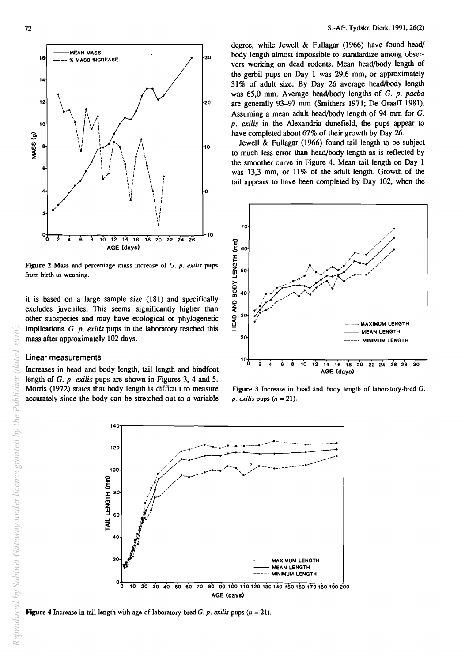

Figure 2 Mass and percentage mass increase of *G.* p. *exilis* pups from birth to weaning.

it is based on a large sample size (181) and specifically excludes juveniles. This seems significantly higher than other subspecies and may have ecological or phylogenetic implications. G. p. *exilis* pups in the laboratory reached this mass after approximately 102 days.

#### Linear measurements

Increases in head and body length, tail length and hindfoot length of G. p. *exilis* pups are shown in Figures 3, 4 and 5. Morris (1972) states that body length is difficult to measure accurately since the body can be stretched out to a variable

degree, while Jewell & Fullagar (1966) have found head/ body length almost impossible to standardize among observers working on dead rodents. Mean head/body length of the gerbil pups on Day 1 was 29,6 mm, or approximately 31% of adult size. By Day 26 average head/body length was 65,0 mm. Average head/body lengths of G. p. paeba are generally 93-97 mm (Smithers 1971; De Graaff 1981). Assuming a mean adult head/body length of 94 mm for G. p. *exilis* in the Alexandria dunefield, the pups appear to have completed about 67% of their growth by Day 26.

Jewell & Fullagar (1966) found tail length to be subject to much less error than head/body length as is reflected by the smoother curve in Figure 4. Mean tail length on Day 1 was  $13.3$  mm, or  $11\%$  of the adult length. Growth of the tail appears to have been completed by Day 102, when the



Figure 3 Increase in head and body length of laboratory·bred *G.*  p. *exilis* pups (n = 21).



Figure 4 Increase in tail length with age of laboratory-bred G. p. exilis pups  $(n = 21)$ .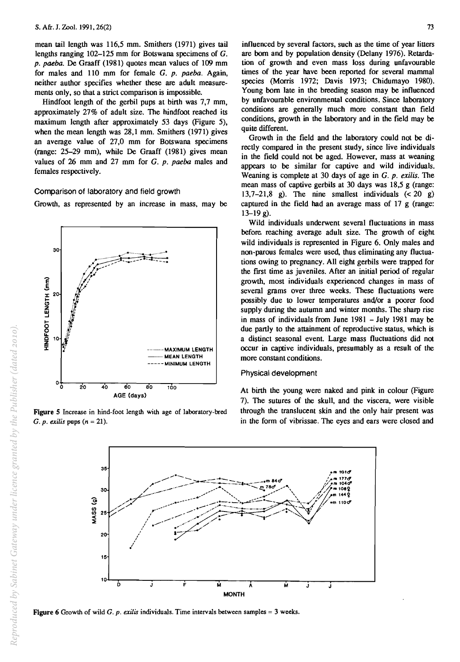mean tail length was 116.5 mm. Smithers (1971) gives tail lengths ranging 102-125 mm for Botswana specimens of G. p. paeba. De Graaff (1981) quotes mean values of 109 mm for males and 110 mm for female G. p. paeba. Again. neither author specifies whether these are adult measurements only. so that a strict comparison is impossible.

Hindfoot length of the gerbil pups at birth was 7.7 mm, approximately 27% of adult size. The hindfoot reached its maximum length after approximately 53 days (Figure 5), when the mean length was 28,1 mm. Smithers (1971) gives an average value of 27,0 mm for Botswana specimens (range: 25-29 mm), while De Graaff (1981) gives mean values of 26 mm and 27 mm for G. p. paeba males and females respectively.

## Comparison of laboratory and field growth

Growth. as represented by an increase in mass. may be



Figure 5 Increase in hind-foot length with age of laboratory-bred G. p. *exilis* pups *(n* = 21).

influenced by several factors. such as the time of year litters are born and by population density (Delany 1976). Retardation of growth and even mass loss during unfavourable times of the year have been reponed for several mammal species (Morris 1972; Davis 1973; Chidumayo 1980). Young born late in the breeding season may be influenced by unfavourable environmental conditions. Since laboratory conditions are generally much more constant than field conditions, growth in the laboratory and in the field may be quite different.

Growth in the field and the laboratory could not be directly compared in the present study, since live individuals in the field could not be aged. However, mass at weaning appears to be similar for captive and wild individuals. Weaning is complete at 30 days of age in G. p. *exilis.* The mean mass of captive gerbils at 30 days was 18,5 g (range: 13,7-21,8 g). The nine smallest individuals  $( $20$  g)$ captured in the field had an average mass of 17 g (range:  $13-19$  g).

Wild individuals underwent several fluctuations in mass before reaching average adult size. The growth of eight wild individuals is represented in Figure 6. Only males and non-parous females were used, thus eliminating any fluctuations owing to pregnancy. All eight gerbils were trapped for the first time as juveniles. After an initial period of regular growth, most individuals experienced changes in mass of several grams over three weeks. These fluctuations were possibly due to lower temperatures and/or a poorer food supply during the autumn and winter months. The sharp rise in mass of individuals from June 1981 - July 1981 may be due partly to the attainment of reproductive status, which is a distinct seasonal event. Large mass fluctuations did not occur in captive individuals, presumably as a result of the more constant conditions.

## Physical development

At birth the young were naked and pink in colour (Figure 7). The sutures of the skull, and the viscera, were visible through the translucent skin and the only hair present was in the form of vibrissae. The eyes and ears were closed and



Figure 6 Growth of wild G. *p. exilis* individuals. Time intervals between samples = 3 weeks.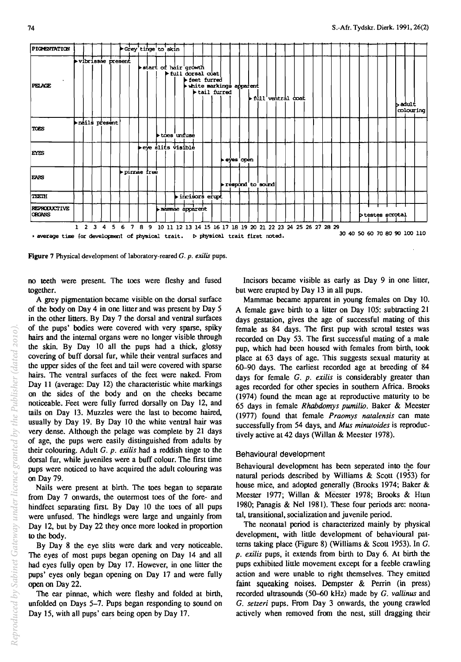

Figure 7 Physical development of laboratory-reared G. p. *exilis* pups.

no teeth were present. The toes were fleshy and fused together.

A grey pigmentation became visible on the dorsal surface of the body on Day 4 in one litter and was present by Day 5 in the other litters. By Day 7 the dorsal and ventral surfaces of the pups' bodies were covered with very sparse, spiky hairs and the internal organs were no longer visible through the skin. By Day 10 all the pups had a thick, glossy covering of buff dorsal fur, while their ventral surfaces and the upper sides of the feet and tail were covered with sparse hairs. The ventral surfaces of the feet were naked. From Day 11 (average: Day 12) the characteristic white markings on the sides of the body and on the cheeks became noticeable. Feet were fully furred dorsally on Day 12, and tails on Day 13. Muzzles were the last to become haired, usually by Day 19. By Day 10 the white ventral hair was very dense. Although the pelage was complete by 21 days of age, the pups were easily distinguished from adults by their colouring. Adult G. p. exilis had a reddish tinge to the dorsal fur, while juveniles were a buff colour. The first time pups were noticed to have acquired the adult colouring was on Day 79.

Nails were present at birth. The toes began to separate from Day 7 onwards, the outermost toes of the fore- and hindfeet separating first. By Day 10 the toes of all pups were unfused. The hindlegs were large and ungainly from Day 12, but by Day 22 they once more looked in proportion to the body.

By Day 8 the eye slits were dark and very noticeable. The eyes of most pups began opening on Day 14 and all had eyes fully open by Day 17. However, in one litter the pups' eyes only began opening on Day 17 and were fully open on Day 22.

The ear pinnae, which were fleshy and folded at birth, unfolded on Days 5-7. Pups began responding to sound on Day 15, with all pups' ears being open by Day 17.

Incisors became visible as early as Day 9 in one litter, but were erupted by Day 13 in all pups.

Mammae became apparent in young females on Day 10. A female gave birth to a litter on Day 105: subtracting 21 days gestation, gives the age of successful mating of this female as 84 days. The first pup with scrotal testes was recorded on Day 53. The first successful mating of a male pup, which had been housed with females from birth, took place at 63 days of age. This suggests sexual maturity at 60-90 days. The earliest recorded age at breeding of 84 days for female G. p. *exilis* is considerably greater than ages recorded for other species in southern Africa. Brooks (1974) found the mean age at reproductive maturity to be 65 days in female *Rhabdomys pumilio.* Baker & Meester (1977) found that female *Praomys natalensis* can mate successfully from 54 days, and *Mus minutoides* is reproductively active at 42 days (Willan & Meester 1978).

#### Behavioural development

Behavioural development has been seperated into the four natural periods described by Williams & Scott (1953) for house mice, and adopted generally (Brooks 1974; Baker & Meester 1977; Willan & Meester 1978; Brooks & Htun 1980; Panagis & Nel 1981). These four periods are: neonatal, transitional, socialization and ju venile period.

The neonatal period is characterized mainly by physical development, with little development of behavioural patterns taking place (Figure 8) (Williams & Scott 1953). In G. p. *exilis* pups, it extends from birth to Day 6. At birth the pups exhibited little movement except for a feeble crawling action and were unable to right themselves. They emitted faint squeaking noises. Dempster  $&$  Perrin (in press) recorded ultrasounds (50-60 kHz) made by G. vallinus and G. *setzeri* pups. From Day 3 onwards, the young crawled actively when removed from the nest, still dragging their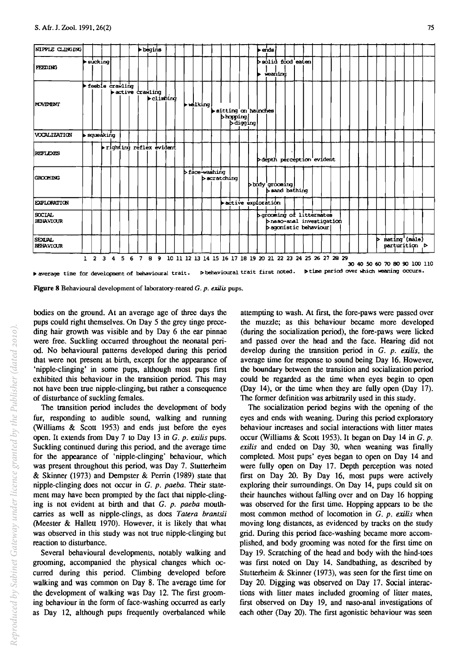

<sup>~</sup>average time for development of behavioural trait. I>behavioural trait first roted. I>time period over Idlich weaning occurs.

Figure 8 Behavioural development of laboratory-reared G. p. *exilis* pups.

bodies on the ground. At an average age of three days the pups could right themselves. On Day 5 the grey tinge preceding hair growth was visible and by Day 6 the ear pinnae were free. Suckling occurred throughout the neonatal period. No behavioural patterns developed during this period that were not present at birth, except for the appearance of 'nipple-clinging' in some pups, although most pups first exhibited this behaviour in the lransition period. This may not have been true nipple-clinging, but rather a consequence of disturbance of suckling females.

The transition period includes the development of body fur, responding to audible sound. walking and running (Williams & Scott 1953) and ends just before the eyes open. It extends from Day 7 to Day 13 in G. p. *exilis* pups. Suckling continued during this period, and the average time for the appearance of 'nipple-clinging' behaviour, which was present throughout this period, was Day 7. Stutterheim & Skinner (1973) and Dempster & Perrin (1989) state that nipple-clinging does not occur in G. *p. paeba.* Their statement may have been prompted by the fact that nipple-clinging is not evident at birth and that G. *p. paeba* mouthcarries as well as nipple-clings, as does *Tatera brantsii*  (Meester & Hallett 1970). However, it is likely that what was observed in this study was not true nipple-clinging but reaction to disturbance.

Several behavioural developments, notably walking and grooming, accompanied the physical changes which occurred during this period. Climbing developed before walking and was common on Day 8. The average time for the development of walking was Day 12. The first grooming behaviour in the form of face-washing occurred as early as Day 12, although pups frequently overbalanced while

attempting to wash. At first, the fore-paws were passed over the muzzle; as this behaviour became more developed (during the socialization period), the fore-paws were licked and passed over the head and the face. Hearing did not develop during the lransition period in G. p. *exilis,* the average time for response to sound being Day 16. However, the boundary between the transition and socialization period could be regarded as the time when eyes begin to open (Day 14), or the time when they are fully open (Day 17). The former definition was arbitrarily used in this study.

The socialization period begins with the opening of the eyes and ends with weaning. During this period exploratory behaviour increases and social interactions with litter mates occur (Williams & Scott 1953). It began on Day 14 in G. p. *exilis* and ended on Day 30, when weaning was finally completed. Most pups' eyes began to open on Day 14 and were fully open on Day 17. Depth perception was noted first on Day 20. By Day 16, most pups were actively exploring their surroundings. On Day 14, pups could sit on their haunches without falling over and on Day 16 hopping was observed for the first time. Hopping appears to be the most common method of locomotion in G. p. *exilis* when moving long distances, as evidenced by tracks on the study grid. During this period face-washing became more accomplished, and body grooming was noted for the first time on Day 19. Scratching of the head and body with the hind-toes was first noted on Day 14. Sandbathing, as described by Stutterheim & Skinner (1973), was seen for the first time on Day 20. Digging was observed on Day 17. Social interactions with litter mates included grooming of litter mates, first observed on Day 19, and naso-anal investigations of each other (Day 20). The first agonistic behaviour was seen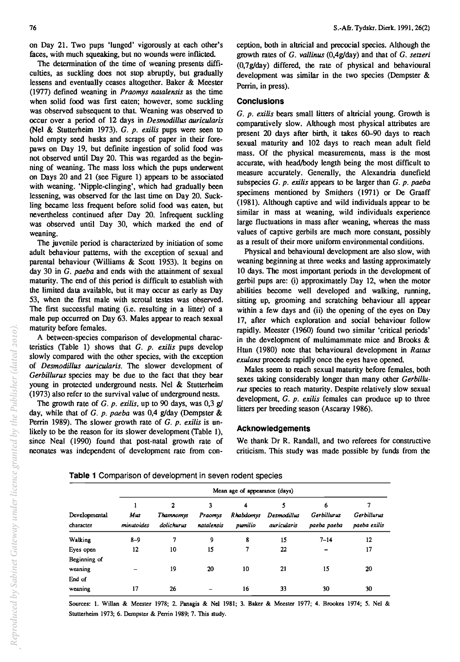on Day 21. Two pups 'lunged' vigorously at each other's faces, with much squeaking, but no wounds were inflicted.

The determination of the time of weaning presents difficulties, as suckling does not stop abruptly, but gradually lessens and eventually ceases altogether. Baker & Meester (1977) defmed weaning in *Praomys natalensis* as the time when solid food was first eaten; however, some suckling was observed subsequent to that. Weaning was observed to occur over a period of 12 days in *Desmodillus auricularis*  (Nel & Stutterheim 1973). G. *p. exilis* pups were seen to hold empty seed husks and scraps of paper in their forepaws on Day 19, but definite ingestion of solid food was not observed until Day 20. This was regarded as the beginning of weaning. The mass loss which the pups underwent on Days 20 and 21 (see Figure 1) appears to be associated with weaning. 'Nipple-clinging', which had gradually been lessening, was observed for the last time on Day 20. Suckling became less frequent before solid food was eaten, but nevertheless continued after Day 20. Infrequent suckling was observed until Day 30, which marked the end of weaning.

The juvenile period is characterized by initiation of some adult behaviour patterns, with the exception of sexual and parental behaviour (Williams & Scott 1953). It begins on day 30 in G. *paeba* and ends with the attainment of sexual maturity. The end of this period is difficult to establish with the limited data available, but it may occur as early as Day 53, when the first male with scrotal testes was observed. The first successful mating (i.e. resulting in a litter) of a male pup occurred on Day 63. Males appear to reach sexual maturity before females.

A between-species comparison of developmental characteristics (Table 1) shows that G. *p. exilis* pups develop slowly compared with the other species, with the exception of *Desmodillus auricularis.* The slower development of *Gerbillurus* species may be due to the fact that they bear young in protected underground nests. Nel & Stutterheim (1973) also refer to the survival value of underground nests.

The growth rate of G. *p. exilis.* up to 90 days, was 0,3 g/ day, while that of G. *p. paeba* was 0,4 g/day (Dempster & Perrin 1989). The slower growth rate of G. *p. exilis* is unlikely to be the reason for its slower development (Table I), since Neal (1990) found that post-natal growth rate of neonates was independent of development rate from con-

**Table 1** Comparison of development in seven rodent species

ception, both in altricial and precocial species. Although the growth rates of G. *vallinus* (O,4g/day) and that of G. *setzeri*  (O,7g/day) differed, the rate of physical and behavioural development was similar in the two species (Dempster & Perrin, in press).

#### **Conclusions**

G. *p. exilis* bears small litters of altricial young. Growth is comparatively slow. Although most physical attributes are present 20 days after birth, it takes 60-90 days to reach sexual maturity and 102 days to reach mean adult field mass. Of the physical measurements, mass is the most accurate, with head/body length being the most difficult to measure accurately. Generally, the Alexandria dunefield subspecies G. *p. exilis* appears to be larger than G. *p. paeba*  specimens mentioned by Smithers (1971) or De Graaff (1981). Although captive and wild individuals appear to be similar in mass at weaning, wild individuals experience large fluctuations in mass after weaning, whereas the mass values of captive gerbils are much more constant, possibly as a result of their more uniform environmental conditions.

Physical and behavioural development are also slow, with weaning beginning at three weeks and lasting approximately 10 days. The most important periods in the development of gerbil pups are: (i) approximately Day 12, when the motor abilities become well developed and walking, running, sitting up, grooming and scratching behaviour all appear within a few days and (ii) the opening of the eyes on Day 17, after which exploration and social behaviour follow rapidly. Meester (1960) found two similar 'critical periods' in the development of multimammate mice and Brooks & Htun (1980) note that behavioural development in *Rattus exulans* proceeds rapidly once the eyes have opened.

Males seem to reach sexual maturity before females, both sexes taking considerably longer than many other *Gerbillurus* species to reach maturity. Despite relatively slow sexual development, G. *p. exilis* females can produce up to three litters per breeding season (Ascaray 1986).

## **Acknowledgements**

We thank Dr R. Randall, and two referees for constructive criticism. This study was made possible by funds from the

| Developmental<br>character | Mean age of appearance (days) |                              |                            |                           |                                        |                                 |                                    |
|----------------------------|-------------------------------|------------------------------|----------------------------|---------------------------|----------------------------------------|---------------------------------|------------------------------------|
|                            | Mus<br>minutoides             | 2<br>Thamnomys<br>dolichurus | 3<br>Praomys<br>natalensis | 4<br>Rhabdomys<br>pumilio | 5<br>Desmodillus<br><i>auricularis</i> | 6<br>Gerbillurus<br>paeba paeba | <b>Gerbillurus</b><br>paeba exilis |
| Walking                    | $8 - 9$                       | 7                            | 9                          | 8                         | 15                                     | $7 - 14$                        | 12                                 |
| Eyes open                  | 12                            | 10                           | 15                         | 7                         | 22                                     |                                 | 17                                 |
| Beginning of<br>weaning    |                               | 19                           | 20                         | 10                        | 21                                     | 15                              | 20                                 |
| End of<br>weaning          | 17                            | 26                           |                            | 16                        | 33                                     | 30                              | 30                                 |

Sources: 1. Willan & Meester 1978; 2. Panagis & Ne1 1981; 3. Baker & Meester 1977; 4. Brookes 1974; 5. Nel & Stutterheim 1973; 6. Dempster & Perrin 1989; 7. This study.